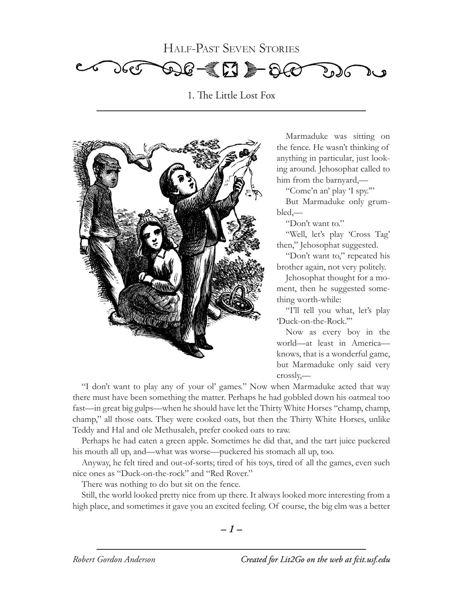Half-Past Seven Stories



1. The Little Lost Fox



Marmaduke was sitting on the fence. He wasn't thinking of anything in particular, just looking around. Jehosophat called to him from the barnyard,—

"Come'n an' play 'I spy.'"

But Marmaduke only grumbled,—

"Don't want to."

"Well, let's play 'Cross Tag' then," Jehosophat suggested.

"Don't want to," repeated his brother again, not very politely.

Jehosophat thought for a moment, then he suggested something worth-while:

"I'll tell you what, let's play 'Duck-on-the-Rock.'"

Now as every boy in the world—at least in America knows, that is a wonderful game, but Marmaduke only said very crossly,—

"I don't want to play any of your ol' games." Now when Marmaduke acted that way there must have been something the matter. Perhaps he had gobbled down his oatmeal too fast—in great big gulps—when he should have let the Thirty White Horses "champ, champ, champ," all those oats. They were cooked oats, but then the Thirty White Horses, unlike Teddy and Hal and ole Methusaleh, prefer cooked oats to raw.

Perhaps he had eaten a green apple. Sometimes he did that, and the tart juice puckered his mouth all up, and—what was worse—puckered his stomach all up, too.

Anyway, he felt tired and out-of-sorts; tired of his toys, tired of all the games, even such nice ones as "Duck-on-the-rock" and "Red Rover."

There was nothing to do but sit on the fence.

Still, the world looked pretty nice from up there. It always looked more interesting from a high place, and sometimes it gave you an excited feeling. Of course, the big elm was a better

$$
-1-
$$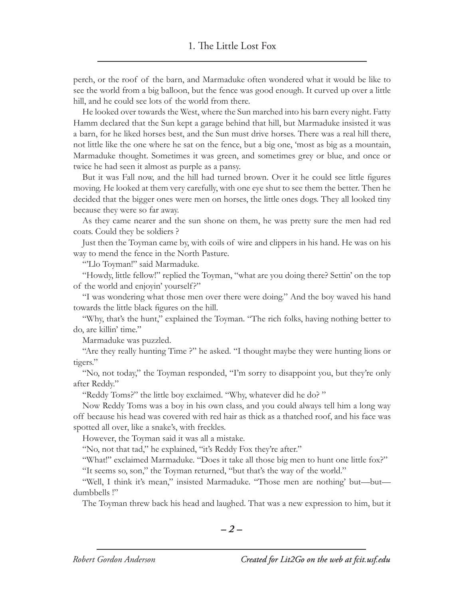perch, or the roof of the barn, and Marmaduke often wondered what it would be like to see the world from a big balloon, but the fence was good enough. It curved up over a little hill, and he could see lots of the world from there.

He looked over towards the West, where the Sun marched into his barn every night. Fatty Hamm declared that the Sun kept a garage behind that hill, but Marmaduke insisted it was a barn, for he liked horses best, and the Sun must drive horses. There was a real hill there, not little like the one where he sat on the fence, but a big one, 'most as big as a mountain, Marmaduke thought. Sometimes it was green, and sometimes grey or blue, and once or twice he had seen it almost as purple as a pansy.

But it was Fall now, and the hill had turned brown. Over it he could see little figures moving. He looked at them very carefully, with one eye shut to see them the better. Then he decided that the bigger ones were men on horses, the little ones dogs. They all looked tiny because they were so far away.

As they came nearer and the sun shone on them, he was pretty sure the men had red coats. Could they be soldiers ?

Just then the Toyman came by, with coils of wire and clippers in his hand. He was on his way to mend the fence in the North Pasture.

"Llo Toyman!" said Marmaduke.

"Howdy, little fellow!" replied the Toyman, "what are you doing there? Settin' on the top of the world and enjoyin' yourself?"

"I was wondering what those men over there were doing." And the boy waved his hand towards the little black figures on the hill.

"Why, that's the hunt," explained the Toyman. "The rich folks, having nothing better to do, are killin' time."

Marmaduke was puzzled.

"Are they really hunting Time ?" he asked. "I thought maybe they were hunting lions or tigers."

"No, not today," the Toyman responded, "I'm sorry to disappoint you, but they're only after Reddy."

"Reddy Toms?" the little boy exclaimed. "Why, whatever did he do? "

Now Reddy Toms was a boy in his own class, and you could always tell him a long way off because his head was covered with red hair as thick as a thatched roof, and his face was spotted all over, like a snake's, with freckles.

However, the Toyman said it was all a mistake.

"No, not that tad," he explained, "it's Reddy Fox they're after."

"What!" exclaimed Marmaduke. "Does it take all those big men to hunt one little fox?" "It seems so, son," the Toyman returned, "but that's the way of the world."

"Well, I think it's mean," insisted Marmaduke. "Those men are nothing' but—but dumbbells !"

The Toyman threw back his head and laughed. That was a new expression to him, but it

*– –*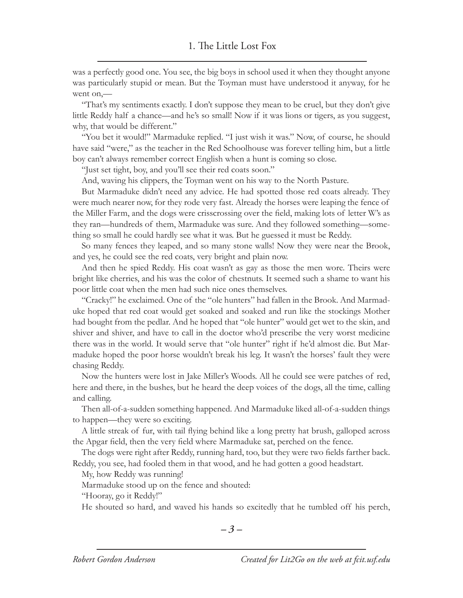was a perfectly good one. You see, the big boys in school used it when they thought anyone was particularly stupid or mean. But the Toyman must have understood it anyway, for he went on,—

"That's my sentiments exactly. I don't suppose they mean to be cruel, but they don't give little Reddy half a chance—and he's so small! Now if it was lions or tigers, as you suggest, why, that would be different."

"You bet it would!" Marmaduke replied. "I just wish it was." Now, of course, he should have said "were," as the teacher in the Red Schoolhouse was forever telling him, but a little boy can't always remember correct English when a hunt is coming so close.

"Just set tight, boy, and you'll see their red coats soon."

And, waving his clippers, the Toyman went on his way to the North Pasture.

But Marmaduke didn't need any advice. He had spotted those red coats already. They were much nearer now, for they rode very fast. Already the horses were leaping the fence of the Miller Farm, and the dogs were crisscrossing over the field, making lots of letter W's as they ran—hundreds of them, Marmaduke was sure. And they followed something—something so small he could hardly see what it was. But he guessed it must be Reddy.

So many fences they leaped, and so many stone walls! Now they were near the Brook, and yes, he could see the red coats, very bright and plain now.

And then he spied Reddy. His coat wasn't as gay as those the men wore. Theirs were bright like cherries, and his was the color of chestnuts. It seemed such a shame to want his poor little coat when the men had such nice ones themselves.

"Cracky!" he exclaimed. One of the "ole hunters" had fallen in the Brook. And Marmaduke hoped that red coat would get soaked and soaked and run like the stockings Mother had bought from the pedlar. And he hoped that "ole hunter" would get wet to the skin, and shiver and shiver, and have to call in the doctor who'd prescribe the very worst medicine there was in the world. It would serve that "ole hunter" right if he'd almost die. But Marmaduke hoped the poor horse wouldn't break his leg. It wasn't the horses' fault they were chasing Reddy.

Now the hunters were lost in Jake Miller's Woods. All he could see were patches of red, here and there, in the bushes, but he heard the deep voices of the dogs, all the time, calling and calling.

Then all-of-a-sudden something happened. And Marmaduke liked all-of-a-sudden things to happen—they were so exciting.

A little streak of fur, with tail flying behind like a long pretty hat brush, galloped across the Apgar field, then the very field where Marmaduke sat, perched on the fence.

The dogs were right after Reddy, running hard, too, but they were two fields farther back. Reddy, you see, had fooled them in that wood, and he had gotten a good headstart.

My, how Reddy was running!

Marmaduke stood up on the fence and shouted:

"Hooray, go it Reddy!"

He shouted so hard, and waved his hands so excitedly that he tumbled off his perch,

$$
-3-
$$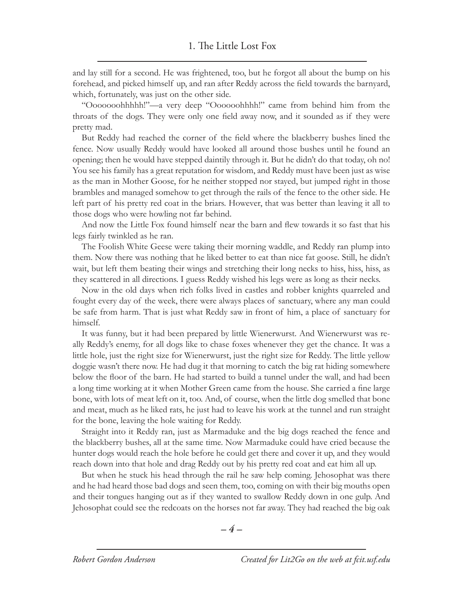and lay still for a second. He was frightened, too, but he forgot all about the bump on his forehead, and picked himself up, and ran after Reddy across the field towards the barnyard, which, fortunately, was just on the other side.

"Ooooooohhhhh!"—a very deep "Oooooohhhh!" came from behind him from the throats of the dogs. They were only one field away now, and it sounded as if they were pretty mad.

But Reddy had reached the corner of the field where the blackberry bushes lined the fence. Now usually Reddy would have looked all around those bushes until he found an opening; then he would have stepped daintily through it. But he didn't do that today, oh no! You see his family has a great reputation for wisdom, and Reddy must have been just as wise as the man in Mother Goose, for he neither stopped nor stayed, but jumped right in those brambles and managed somehow to get through the rails of the fence to the other side. He left part of his pretty red coat in the briars. However, that was better than leaving it all to those dogs who were howling not far behind.

And now the Little Fox found himself near the barn and flew towards it so fast that his legs fairly twinkled as he ran.

The Foolish White Geese were taking their morning waddle, and Reddy ran plump into them. Now there was nothing that he liked better to eat than nice fat goose. Still, he didn't wait, but left them beating their wings and stretching their long necks to hiss, hiss, hiss, as they scattered in all directions. I guess Reddy wished his legs were as long as their necks.

Now in the old days when rich folks lived in castles and robber knights quarreled and fought every day of the week, there were always places of sanctuary, where any man could be safe from harm. That is just what Reddy saw in front of him, a place of sanctuary for himself.

It was funny, but it had been prepared by little Wienerwurst. And Wienerwurst was really Reddy's enemy, for all dogs like to chase foxes whenever they get the chance. It was a little hole, just the right size for Wienerwurst, just the right size for Reddy. The little yellow doggie wasn't there now. He had dug it that morning to catch the big rat hiding somewhere below the floor of the barn. He had started to build a tunnel under the wall, and had been a long time working at it when Mother Green came from the house. She carried a fine large bone, with lots of meat left on it, too. And, of course, when the little dog smelled that bone and meat, much as he liked rats, he just had to leave his work at the tunnel and run straight for the bone, leaving the hole waiting for Reddy.

Straight into it Reddy ran, just as Marmaduke and the big dogs reached the fence and the blackberry bushes, all at the same time. Now Marmaduke could have cried because the hunter dogs would reach the hole before he could get there and cover it up, and they would reach down into that hole and drag Reddy out by his pretty red coat and eat him all up.

But when he stuck his head through the rail he saw help coming. Jehosophat was there and he had heard those bad dogs and seen them, too, coming on with their big mouths open and their tongues hanging out as if they wanted to swallow Reddy down in one gulp. And Jehosophat could see the redcoats on the horses not far away. They had reached the big oak

$$
-4-
$$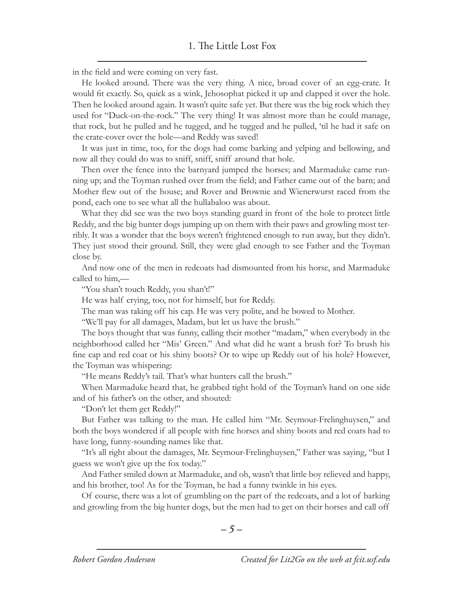in the field and were coming on very fast.

He looked around. There was the very thing. A nice, broad cover of an egg-crate. It would fit exactly. So, quick as a wink, Jehosophat picked it up and clapped it over the hole. Then he looked around again. It wasn't quite safe yet. But there was the big rock which they used for "Duck-on-the-rock." The very thing! It was almost more than he could manage, that rock, but he pulled and he tugged, and he tugged and he pulled, 'til he had it safe on the crate-cover over the hole—and Reddy was saved!

It was just in time, too, for the dogs had come barking and yelping and bellowing, and now all they could do was to sniff, sniff, sniff around that hole.

Then over the fence into the barnyard jumped the horses; and Marmaduke came running up; and the Toyman rushed over from the field; and Father came out of the barn; and Mother flew out of the house; and Rover and Brownie and Wienerwurst raced from the pond, each one to see what all the hullabaloo was about.

What they did see was the two boys standing guard in front of the hole to protect little Reddy, and the big hunter dogs jumping up on them with their paws and growling most terribly. It was a wonder that the boys weren't frightened enough to run away, but they didn't. They just stood their ground. Still, they were glad enough to see Father and the Toyman close by.

And now one of the men in redcoats had dismounted from his horse, and Marmaduke called to him,—

"You shan't touch Reddy, you shan't!"

He was half crying, too, not for himself, but for Reddy.

The man was taking off his cap. He was very polite, and he bowed to Mother.

"We'll pay for all damages, Madam, but let us have the brush."

The boys thought that was funny, calling their mother "madam," when everybody in the neighborhood called her "Mis' Green." And what did he want a brush for? To brush his fine cap and red coat or his shiny boots? Or to wipe up Reddy out of his hole? However, the Toyman was whispering:

"He means Reddy's tail. That's what hunters call the brush."

When Marmaduke heard that, he grabbed tight hold of the Toyman's hand on one side and of his father's on the other, and shouted:

"Don't let them get Reddy!"

But Father was talking to the man. He called him "Mr. Seymour-Frelinghuysen," and both the boys wondered if all people with fine horses and shiny boots and red coats had to have long, funny-sounding names like that.

"It's all right about the damages, Mr. Seymour-Frelinghuysen," Father was saying, "but I guess we won't give up the fox today."

And Father smiled down at Marmaduke, and oh, wasn't that little boy relieved and happy, and his brother, too! As for the Toyman, he had a funny twinkle in his eyes.

Of course, there was a lot of grumbling on the part of the redcoats, and a lot of barking and growling from the big hunter dogs, but the men had to get on their horses and call off

$$
-5-
$$